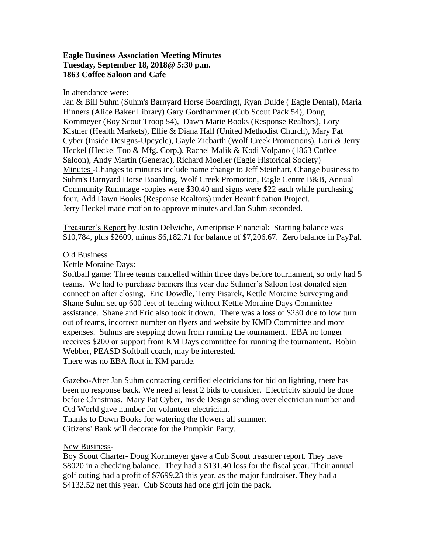## **Eagle Business Association Meeting Minutes Tuesday, September 18, 2018@ 5:30 p.m. 1863 Coffee Saloon and Cafe**

## In attendance were:

Jan & Bill Suhm (Suhm's Barnyard Horse Boarding), Ryan Dulde ( Eagle Dental), Maria Hinners (Alice Baker Library) Gary Gordhammer (Cub Scout Pack 54), Doug Kornmeyer (Boy Scout Troop 54), Dawn Marie Books (Response Realtors), Lory Kistner (Health Markets), Ellie & Diana Hall (United Methodist Church), Mary Pat Cyber (Inside Designs-Upcycle), Gayle Ziebarth (Wolf Creek Promotions), Lori & Jerry Heckel (Heckel Too & Mfg. Corp.), Rachel Malik & Kodi Volpano (1863 Coffee Saloon), Andy Martin (Generac), Richard Moeller (Eagle Historical Society) Minutes -Changes to minutes include name change to Jeff Steinhart, Change business to Suhm's Barnyard Horse Boarding, Wolf Creek Promotion, Eagle Centre B&B, Annual Community Rummage -copies were \$30.40 and signs were \$22 each while purchasing four, Add Dawn Books (Response Realtors) under Beautification Project. Jerry Heckel made motion to approve minutes and Jan Suhm seconded.

Treasurer's Report by Justin Delwiche, Ameriprise Financial: Starting balance was \$10,784, plus \$2609, minus \$6,182.71 for balance of \$7,206.67. Zero balance in PayPal.

## Old Business

Kettle Moraine Days:

Softball game: Three teams cancelled within three days before tournament, so only had 5 teams. We had to purchase banners this year due Suhmer's Saloon lost donated sign connection after closing. Eric Dowdle, Terry Pisarek, Kettle Moraine Surveying and Shane Suhm set up 600 feet of fencing without Kettle Moraine Days Committee assistance. Shane and Eric also took it down. There was a loss of \$230 due to low turn out of teams, incorrect number on flyers and website by KMD Committee and more expenses. Suhms are stepping down from running the tournament. EBA no longer receives \$200 or support from KM Days committee for running the tournament. Robin Webber, PEASD Softball coach, may be interested.

There was no EBA float in KM parade.

Gazebo-After Jan Suhm contacting certified electricians for bid on lighting, there has been no response back. We need at least 2 bids to consider. Electricity should be done before Christmas. Mary Pat Cyber, Inside Design sending over electrician number and Old World gave number for volunteer electrician.

Thanks to Dawn Books for watering the flowers all summer. Citizens' Bank will decorate for the Pumpkin Party.

New Business-

Boy Scout Charter- Doug Kornmeyer gave a Cub Scout treasurer report. They have \$8020 in a checking balance. They had a \$131.40 loss for the fiscal year. Their annual golf outing had a profit of \$7699.23 this year, as the major fundraiser. They had a \$4132.52 net this year. Cub Scouts had one girl join the pack.